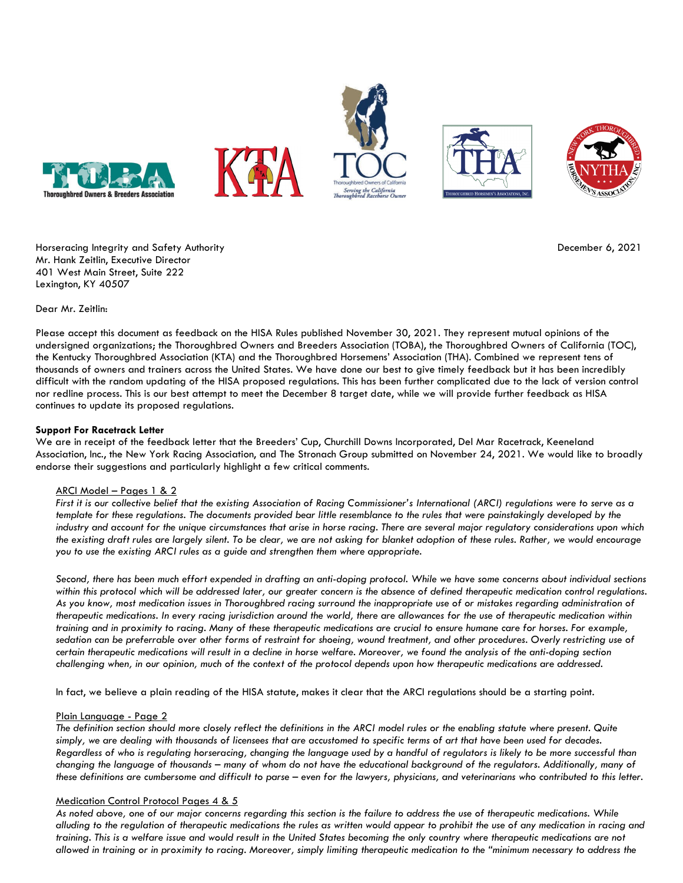





Horseracing Integrity and Safety Authority December 6, 2021 Mr. Hank Zeitlin, Executive Director 401 West Main Street, Suite 222 Lexington, KY 40507

Dear Mr. Zeitlin:

Please accept this document as feedback on the HISA Rules published November 30, 2021. They represent mutual opinions of the undersigned organizations; the Thoroughbred Owners and Breeders Association (TOBA), the Thoroughbred Owners of California (TOC), the Kentucky Thoroughbred Association (KTA) and the Thoroughbred Horsemens' Association (THA). Combined we represent tens of thousands of owners and trainers across the United States. We have done our best to give timely feedback but it has been incredibly difficult with the random updating of the HISA proposed regulations. This has been further complicated due to the lack of version control nor redline process. This is our best attempt to meet the December 8 target date, while we will provide further feedback as HISA continues to update its proposed regulations.

# **Support For Racetrack Letter**

We are in receipt of the feedback letter that the Breeders' Cup, Churchill Downs Incorporated, Del Mar Racetrack, Keeneland Association, Inc., the New York Racing Association, and The Stronach Group submitted on November 24, 2021. We would like to broadly endorse their suggestions and particularly highlight a few critical comments.

## ARCI Model - Pages 1 & 2

*First it is our collective belief that the existing Association of Racing Commissioner's International (ARCI) regulations were to serve as a template for these regulations. The documents provided bear little resemblance to the rules that were painstakingly developed by the industry and account for the unique circumstances that arise in horse racing. There are several major regulatory considerations upon which the existing draft rules are largely silent. To be clear, we are not asking for blanket adoption of these rules. Rather, we would encourage you to use the existing ARCI rules as a guide and strengthen them where appropriate.* 

*Second, there has been much effort expended in drafting an anti-doping protocol. While we have some concerns about individual sections within this protocol which will be addressed later, our greater concern is the absence of defined therapeutic medication control regulations.*  As you know, most medication issues in Thoroughbred racing surround the inappropriate use of or mistakes regarding administration of *therapeutic medications. In every racing jurisdiction around the world, there are allowances for the use of therapeutic medication within training and in proximity to racing. Many of these therapeutic medications are crucial to ensure humane care for horses. For example, sedation can be preferrable over other forms of restraint for shoeing, wound treatment, and other procedures. Overly restricting use of certain therapeutic medications will result in a decline in horse welfare. Moreover, we found the analysis of the anti-doping section challenging when, in our opinion, much of the context of the protocol depends upon how therapeutic medications are addressed.* 

In fact, we believe a plain reading of the HISA statute, makes it clear that the ARCI regulations should be a starting point.

## Plain Language - Page 2

*The definition section should more closely reflect the definitions in the ARCI model rules or the enabling statute where present. Quite simply, we are dealing with thousands of licensees that are accustomed to specific terms of art that have been used for decades. Regardless of who is regulating horseracing, changing the language used by a handful of regulators is likely to be more successful than changing the language of thousands – many of whom do not have the educational background of the regulators. Additionally, many of these definitions are cumbersome and difficult to parse – even for the lawyers, physicians, and veterinarians who contributed to this letter.* 

## Medication Control Protocol Pages 4 & 5

*As noted above, one of our major concerns regarding this section is the failure to address the use of therapeutic medications. While alluding to the regulation of therapeutic medications the rules as written would appear to prohibit the use of any medication in racing and training. This is a welfare issue and would result in the United States becoming the only country where therapeutic medications are not allowed in training or in proximity to racing. Moreover, simply limiting therapeutic medication to the "minimum necessary to address the*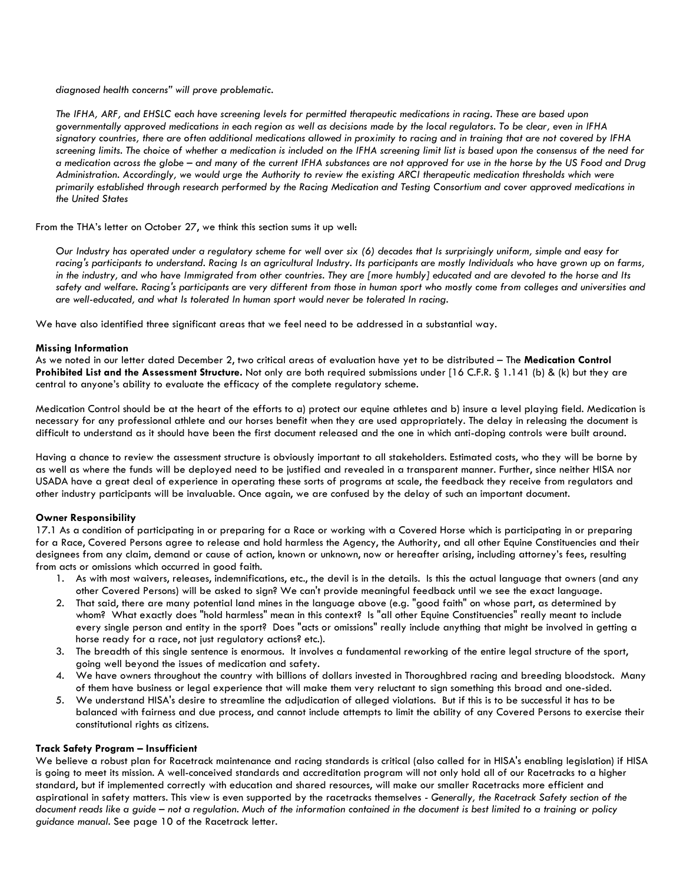*diagnosed health concerns" will prove problematic.* 

*The IFHA, ARF, and EHSLC each have screening levels for permitted therapeutic medications in racing. These are based upon governmentally approved medications in each region as well as decisions made by the local regulators. To be clear, even in IFHA signatory countries, there are often additional medications allowed in proximity to racing and in training that are not covered by IFHA screening limits. The choice of whether a medication is included on the IFHA screening limit list is based upon the consensus of the need for a medication across the globe – and many of the current IFHA substances are not approved for use in the horse by the US Food and Drug Administration. Accordingly, we would urge the Authority to review the existing ARCI therapeutic medication thresholds which were primarily established through research performed by the Racing Medication and Testing Consortium and cover approved medications in the United States*

From the THA's letter on October 27, we think this section sums it up well:

*Our Industry has operated under a regulatory scheme for well over six (6) decades that Is surprisingly uniform, simple and easy for*  racing's participants to understand. Racing Is an agricultural Industry. Its participants are mostly Individuals who have grown up on farms, *in the industry, and who have Immigrated from other countries. They are [more humbly] educated and are devoted to the horse and Its safety and welfare. Racing's participants are very different from those in human sport who mostly come from colleges and universities and are well-educated, and what Is tolerated In human sport would never be tolerated In racing.*

We have also identified three significant areas that we feel need to be addressed in a substantial way.

#### **Missing Information**

As we noted in our letter dated December 2, two critical areas of evaluation have yet to be distributed – The **Medication Control Prohibited List and the Assessment Structure.** Not only are both required submissions under [16 C.F.R. § 1.141 (b) & (k) but they are central to anyone's ability to evaluate the efficacy of the complete regulatory scheme.

Medication Control should be at the heart of the efforts to a) protect our equine athletes and b) insure a level playing field. Medication is necessary for any professional athlete and our horses benefit when they are used appropriately. The delay in releasing the document is difficult to understand as it should have been the first document released and the one in which anti-doping controls were built around.

Having a chance to review the assessment structure is obviously important to all stakeholders. Estimated costs, who they will be borne by as well as where the funds will be deployed need to be justified and revealed in a transparent manner. Further, since neither HISA nor USADA have a great deal of experience in operating these sorts of programs at scale, the feedback they receive from regulators and other industry participants will be invaluable. Once again, we are confused by the delay of such an important document.

## **Owner Responsibility**

17.1 As a condition of participating in or preparing for a Race or working with a Covered Horse which is participating in or preparing for a Race, Covered Persons agree to release and hold harmless the Agency, the Authority, and all other Equine Constituencies and their designees from any claim, demand or cause of action, known or unknown, now or hereafter arising, including attorney's fees, resulting from acts or omissions which occurred in good faith.

- 1. As with most waivers, releases, indemnifications, etc., the devil is in the details. Is this the actual language that owners (and any other Covered Persons) will be asked to sign? We can't provide meaningful feedback until we see the exact language.
- 2. That said, there are many potential land mines in the language above (e.g. "good faith" on whose part, as determined by whom? What exactly does "hold harmless" mean in this context? Is "all other Equine Constituencies" really meant to include every single person and entity in the sport? Does "acts or omissions" really include anything that might be involved in getting a horse ready for a race, not just regulatory actions? etc.).
- 3. The breadth of this single sentence is enormous. It involves a fundamental reworking of the entire legal structure of the sport, going well beyond the issues of medication and safety.
- 4. We have owners throughout the country with billions of dollars invested in Thoroughbred racing and breeding bloodstock. Many of them have business or legal experience that will make them very reluctant to sign something this broad and one-sided.
- 5. We understand HISA's desire to streamline the adjudication of alleged violations. But if this is to be successful it has to be balanced with fairness and due process, and cannot include attempts to limit the ability of any Covered Persons to exercise their constitutional rights as citizens.

## **Track Safety Program – Insufficient**

We believe a robust plan for Racetrack maintenance and racing standards is critical (also called for in HISA's enabling legislation) if HISA is going to meet its mission. A well-conceived standards and accreditation program will not only hold all of our Racetracks to a higher standard, but if implemented correctly with education and shared resources, will make our smaller Racetracks more efficient and aspirational in safety matters. This view is even supported by the racetracks themselves - *Generally, the Racetrack Safety section of the document reads like a guide – not a regulation. Much of the information contained in the document is best limited to a training or policy guidance manual.* See page 10 of the Racetrack letter.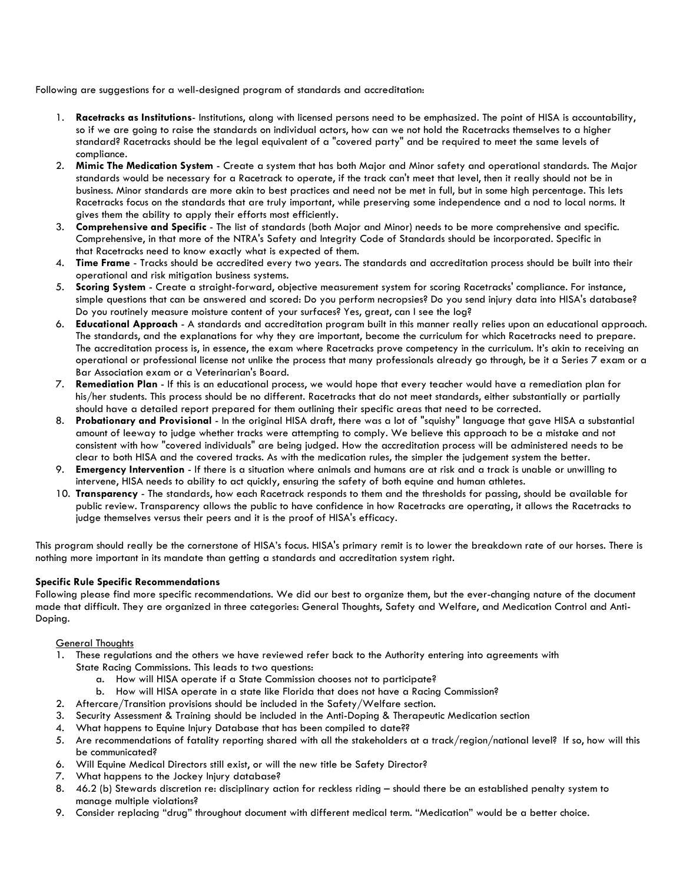Following are suggestions for a well-designed program of standards and accreditation:

- 1. **Racetracks as Institutions** Institutions, along with licensed persons need to be emphasized. The point of HISA is accountability, so if we are going to raise the standards on individual actors, how can we not hold the Racetracks themselves to a higher standard? Racetracks should be the legal equivalent of a "covered party" and be required to meet the same levels of compliance.
- 2. **Mimic The Medication System** Create a system that has both Major and Minor safety and operational standards. The Major standards would be necessary for a Racetrack to operate, if the track can't meet that level, then it really should not be in business. Minor standards are more akin to best practices and need not be met in full, but in some high percentage. This lets Racetracks focus on the standards that are truly important, while preserving some independence and a nod to local norms. It gives them the ability to apply their efforts most efficiently.
- 3. **Comprehensive and Specific** The list of standards (both Major and Minor) needs to be more comprehensive and specific. Comprehensive, in that more of the NTRA's Safety and Integrity Code of Standards should be incorporated. Specific in that Racetracks need to know exactly what is expected of them.
- 4. **Time Frame** Tracks should be accredited every two years. The standards and accreditation process should be built into their operational and risk mitigation business systems.
- 5. **Scoring System** Create a straight-forward, objective measurement system for scoring Racetracks' compliance. For instance, simple questions that can be answered and scored: Do you perform necropsies? Do you send injury data into HISA's database? Do you routinely measure moisture content of your surfaces? Yes, great, can I see the log?
- 6. **Educational Approach** A standards and accreditation program built in this manner really relies upon an educational approach. The standards, and the explanations for why they are important, become the curriculum for which Racetracks need to prepare. The accreditation process is, in essence, the exam where Racetracks prove competency in the curriculum. It's akin to receiving an operational or professional license not unlike the process that many professionals already go through, be it a Series 7 exam or a Bar Association exam or a Veterinarian's Board.
- 7. **Remediation Plan** If this is an educational process, we would hope that every teacher would have a remediation plan for his/her students. This process should be no different. Racetracks that do not meet standards, either substantially or partially should have a detailed report prepared for them outlining their specific areas that need to be corrected.
- 8. **Probationary and Provisional** In the original HISA draft, there was a lot of "squishy" language that gave HISA a substantial amount of leeway to judge whether tracks were attempting to comply. We believe this approach to be a mistake and not consistent with how "covered individuals" are being judged. How the accreditation process will be administered needs to be clear to both HISA and the covered tracks. As with the medication rules, the simpler the judgement system the better.
- 9. **Emergency Intervention** If there is a situation where animals and humans are at risk and a track is unable or unwilling to intervene, HISA needs to ability to act quickly, ensuring the safety of both equine and human athletes.
- 10. **Transparency** The standards, how each Racetrack responds to them and the thresholds for passing, should be available for public review. Transparency allows the public to have confidence in how Racetracks are operating, it allows the Racetracks to judge themselves versus their peers and it is the proof of HISA's efficacy.

This program should really be the cornerstone of HISA's focus. HISA's primary remit is to lower the breakdown rate of our horses. There is nothing more important in its mandate than getting a standards and accreditation system right.

## **Specific Rule Specific Recommendations**

Following please find more specific recommendations. We did our best to organize them, but the ever-changing nature of the document made that difficult. They are organized in three categories: General Thoughts, Safety and Welfare, and Medication Control and Anti-Doping.

## **General Thoughts**

- 1. These regulations and the others we have reviewed refer back to the Authority entering into agreements with State Racing Commissions. This leads to two questions:
	- a. How will HISA operate if a State Commission chooses not to participate?
	- b. How will HISA operate in a state like Florida that does not have a Racing Commission?
- 2. Aftercare/Transition provisions should be included in the Safety/Welfare section.
- 3. Security Assessment & Training should be included in the Anti-Doping & Therapeutic Medication section
- 4. What happens to Equine Injury Database that has been compiled to date??
- 5. Are recommendations of fatality reporting shared with all the stakeholders at a track/region/national level? If so, how will this be communicated?
- 6. Will Equine Medical Directors still exist, or will the new title be Safety Director?
- 7. What happens to the Jockey Injury database?
- 8. 46.2 (b) Stewards discretion re: disciplinary action for reckless riding should there be an established penalty system to manage multiple violations?
- 9. Consider replacing "drug" throughout document with different medical term. "Medication" would be a better choice.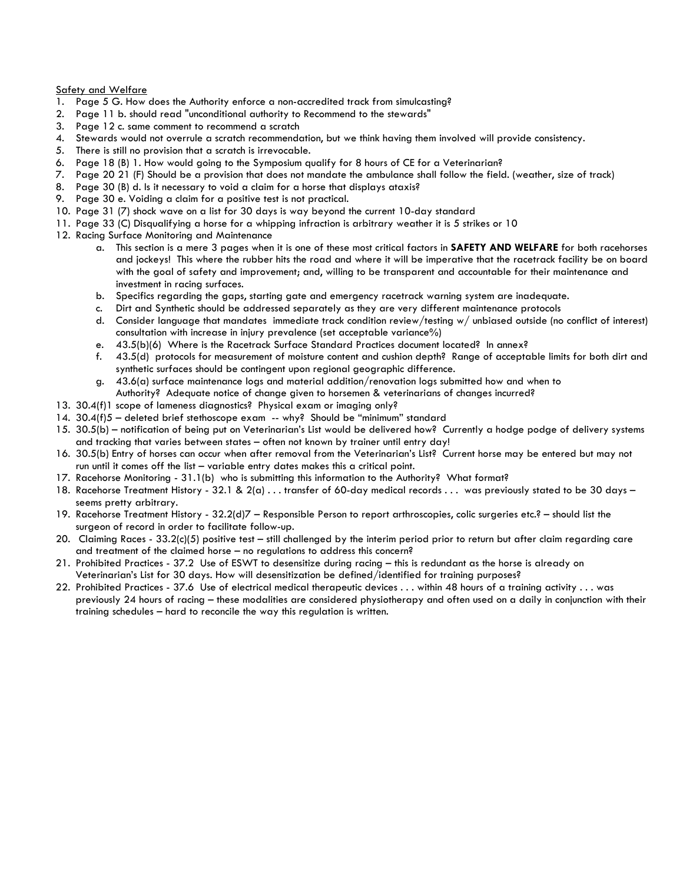#### Safety and Welfare

- 1. Page 5 G. How does the Authority enforce a non-accredited track from simulcasting?
- 2. Page 11 b. should read "unconditional authority to Recommend to the stewards"
- 3. Page 12 c. same comment to recommend a scratch
- 4. Stewards would not overrule a scratch recommendation, but we think having them involved will provide consistency.
- 5. There is still no provision that a scratch is irrevocable.
- 6. Page 18 (B) 1. How would going to the Symposium qualify for 8 hours of CE for a Veterinarian?
- 7. Page 20 21 (F) Should be a provision that does not mandate the ambulance shall follow the field. (weather, size of track)
- 8. Page 30 (B) d. Is it necessary to void a claim for a horse that displays ataxis?
- 9. Page 30 e. Voiding a claim for a positive test is not practical.
- 10. Page 31 (7) shock wave on a list for 30 days is way beyond the current 10-day standard
- 11. Page 33 (C) Disqualifying a horse for a whipping infraction is arbitrary weather it is 5 strikes or 10
- 12. Racing Surface Monitoring and Maintenance
	- a. This section is a mere 3 pages when it is one of these most critical factors in **SAFETY AND WELFARE** for both racehorses and jockeys! This where the rubber hits the road and where it will be imperative that the racetrack facility be on board with the goal of safety and improvement; and, willing to be transparent and accountable for their maintenance and investment in racing surfaces.
	- b. Specifics regarding the gaps, starting gate and emergency racetrack warning system are inadequate.
	- c. Dirt and Synthetic should be addressed separately as they are very different maintenance protocols
	- d. Consider language that mandates immediate track condition review/testing w/ unbiased outside (no conflict of interest) consultation with increase in injury prevalence (set acceptable variance%)
	- e. 43.5(b)(6) Where is the Racetrack Surface Standard Practices document located? In annex?
	- f. 43.5(d) protocols for measurement of moisture content and cushion depth? Range of acceptable limits for both dirt and synthetic surfaces should be contingent upon regional geographic difference.
	- g. 43.6(a) surface maintenance logs and material addition/renovation logs submitted how and when to Authority? Adequate notice of change given to horsemen & veterinarians of changes incurred?
- 13. 30.4(f)1 scope of lameness diagnostics? Physical exam or imaging only?
- 14. 30.4(f)5 deleted brief stethoscope exam -- why? Should be "minimum" standard
- 15. 30.5(b) notification of being put on Veterinarian's List would be delivered how? Currently a hodge podge of delivery systems and tracking that varies between states – often not known by trainer until entry day!
- 16. 30.5(b) Entry of horses can occur when after removal from the Veterinarian's List? Current horse may be entered but may not run until it comes off the list – variable entry dates makes this a critical point.
- 17. Racehorse Monitoring 31.1(b) who is submitting this information to the Authority? What format?
- 18. Racehorse Treatment History 32.1 & 2(a) . . . transfer of 60-day medical records . . . was previously stated to be 30 days seems pretty arbitrary.
- 19. Racehorse Treatment History 32.2(d)7 Responsible Person to report arthroscopies, colic surgeries etc.? should list the surgeon of record in order to facilitate follow-up.
- 20. Claiming Races 33.2(c)(5) positive test still challenged by the interim period prior to return but after claim regarding care and treatment of the claimed horse – no regulations to address this concern?
- 21. Prohibited Practices 37.2 Use of ESWT to desensitize during racing this is redundant as the horse is already on Veterinarian's List for 30 days. How will desensitization be defined/identified for training purposes?
- 22. Prohibited Practices 37.6 Use of electrical medical therapeutic devices . . . within 48 hours of a training activity . . . was previously 24 hours of racing – these modalities are considered physiotherapy and often used on a daily in conjunction with their training schedules – hard to reconcile the way this regulation is written.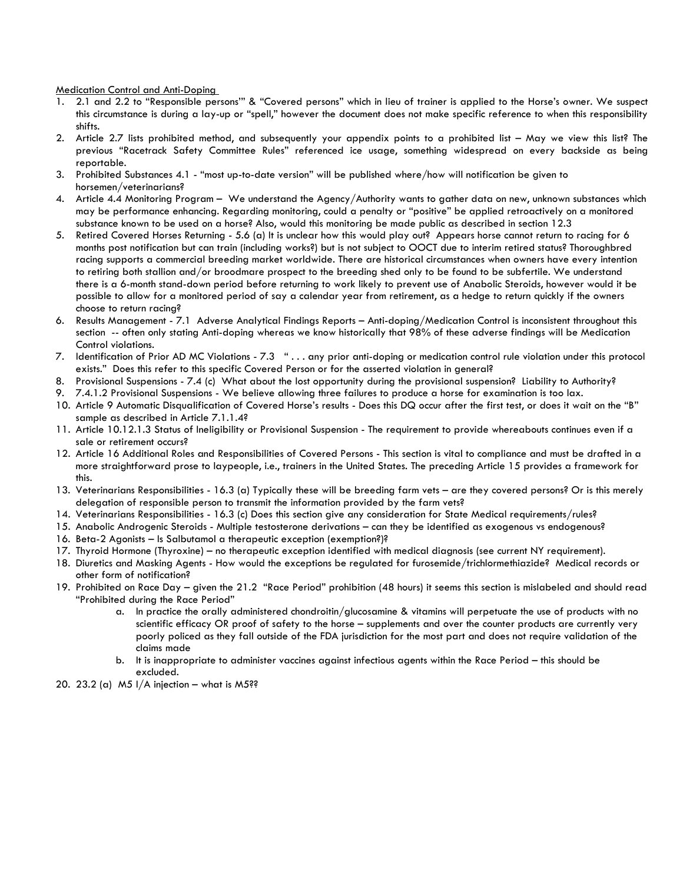Medication Control and Anti-Doping

- 1. 2.1 and 2.2 to "Responsible persons'" & "Covered persons" which in lieu of trainer is applied to the Horse's owner. We suspect this circumstance is during a lay-up or "spell," however the document does not make specific reference to when this responsibility shifts.
- 2. Article 2.7 lists prohibited method, and subsequently your appendix points to a prohibited list May we view this list? The previous "Racetrack Safety Committee Rules" referenced ice usage, something widespread on every backside as being reportable.
- 3. Prohibited Substances 4.1 "most up-to-date version" will be published where/how will notification be given to horsemen/veterinarians?
- 4. Article 4.4 Monitoring Program We understand the Agency/Authority wants to gather data on new, unknown substances which may be performance enhancing. Regarding monitoring, could a penalty or "positive" be applied retroactively on a monitored substance known to be used on a horse? Also, would this monitoring be made public as described in section 12.3
- 5. Retired Covered Horses Returning 5.6 (a) It is unclear how this would play out? Appears horse cannot return to racing for 6 months post notification but can train (including works?) but is not subject to OOCT due to interim retired status? Thoroughbred racing supports a commercial breeding market worldwide. There are historical circumstances when owners have every intention to retiring both stallion and/or broodmare prospect to the breeding shed only to be found to be subfertile. We understand there is a 6-month stand-down period before returning to work likely to prevent use of Anabolic Steroids, however would it be possible to allow for a monitored period of say a calendar year from retirement, as a hedge to return quickly if the owners choose to return racing?
- 6. Results Management 7.1 Adverse Analytical Findings Reports Anti-doping/Medication Control is inconsistent throughout this section -- often only stating Anti-doping whereas we know historically that 98% of these adverse findings will be Medication Control violations.
- 7. Identification of Prior AD MC Violations 7.3 " . . . any prior anti-doping or medication control rule violation under this protocol exists." Does this refer to this specific Covered Person or for the asserted violation in general?
- 8. Provisional Suspensions 7.4 (c) What about the lost opportunity during the provisional suspension? Liability to Authority?
- 9. 7.4.1.2 Provisional Suspensions We believe allowing three failures to produce a horse for examination is too lax.
- 10. Article 9 Automatic Disqualification of Covered Horse's results Does this DQ occur after the first test, or does it wait on the "B" sample as described in Article 7.1.1.4?
- 11. Article 10.12.1.3 Status of Ineligibility or Provisional Suspension The requirement to provide whereabouts continues even if a sale or retirement occurs?
- 12. Article 16 Additional Roles and Responsibilities of Covered Persons This section is vital to compliance and must be drafted in a more straightforward prose to laypeople, i.e., trainers in the United States. The preceding Article 15 provides a framework for this.
- 13. Veterinarians Responsibilities 16.3 (a) Typically these will be breeding farm vets are they covered persons? Or is this merely delegation of responsible person to transmit the information provided by the farm vets?
- 14. Veterinarians Responsibilities 16.3 (c) Does this section give any consideration for State Medical requirements/rules?
- 15. Anabolic Androgenic Steroids Multiple testosterone derivations can they be identified as exogenous vs endogenous?
- 16. Beta-2 Agonists Is Salbutamol a therapeutic exception (exemption?)?
- 17. Thyroid Hormone (Thyroxine) no therapeutic exception identified with medical diagnosis (see current NY requirement).
- 18. Diuretics and Masking Agents How would the exceptions be regulated for furosemide/trichlormethiazide? Medical records or other form of notification?
- 19. Prohibited on Race Day given the 21.2 "Race Period" prohibition (48 hours) it seems this section is mislabeled and should read "Prohibited during the Race Period"
	- a. In practice the orally administered chondroitin/glucosamine & vitamins will perpetuate the use of products with no scientific efficacy OR proof of safety to the horse – supplements and over the counter products are currently very poorly policed as they fall outside of the FDA jurisdiction for the most part and does not require validation of the claims made
	- b. It is inappropriate to administer vaccines against infectious agents within the Race Period this should be excluded.
- 20. 23.2 (a)  $M5$  I/A injection what is M5??